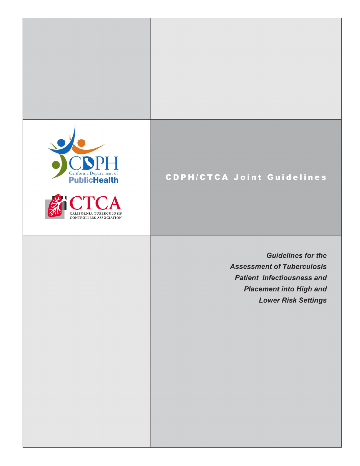



## **CDPH/CTCA Joint Guidelines**

Patient Infectiousness and Placement into High and Lower Risk Settings 1 of 17

**Guidelines for the Assessment of Tuberculosis Patient Infectiousness and Placement into High and Lower Risk Settings**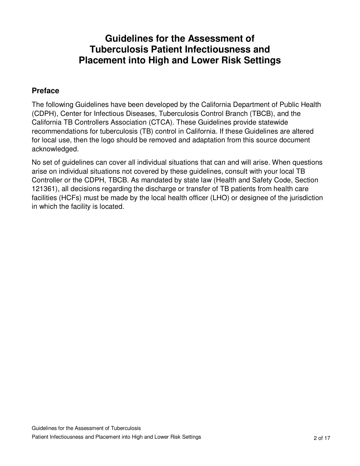## **Guidelines for the Assessment of Tuberculosis Patient Infectiousness and Placement into High and Lower Risk Settings**

### **Preface**

The following Guidelines have been developed by the California Department of Public Health (CDPH), Center for Infectious Diseases, Tuberculosis Control Branch (TBCB), and the California TB Controllers Association (CTCA). These Guidelines provide statewide recommendations for tuberculosis (TB) control in California. If these Guidelines are altered for local use, then the logo should be removed and adaptation from this source document acknowledged.

No set of guidelines can cover all individual situations that can and will arise. When questions arise on individual situations not covered by these guidelines, consult with your local TB Controller or the CDPH, TBCB. As mandated by state law (Health and Safety Code, Section 121361), all decisions regarding the discharge or transfer of TB patients from health care facilities (HCFs) must be made by the local health officer (LHO) or designee of the jurisdiction in which the facility is located.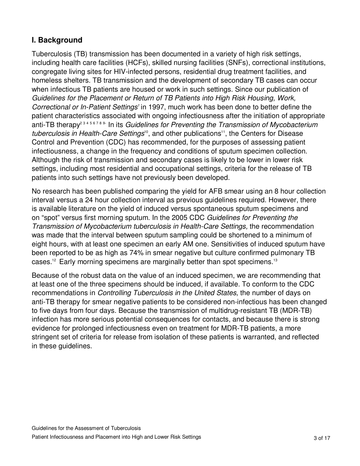### **I. Background**

Tuberculosis (TB) transmission has been documented in a variety of high risk settings, including health care facilities (HCFs), skilled nursing facilities (SNFs), correctional institutions, congregate living sites for HIV-infected persons, residential drug treatment facilities, and homeless shelters. TB transmission and the development of secondary TB cases can occur when infectious TB patients are housed or work in such settings. Since our publication of Guidelines for the Placement or Return of TB Patients into High Risk Housing, Work, Correctional or In-Patient Settings' in 1997, much work has been done to better define the patient characteristics associated with ongoing infectiousness after the initiation of appropriate anti-TB therapy<sup>23456789</sup> In its Guidelines for Preventing the Transmission of Mycobacterium tuberculosis in Health-Care Settings<sup>10</sup>, and other publications<sup>11</sup>, the Centers for Disease Control and Prevention (CDC) has recommended, for the purposes of assessing patient infectiousness, a change in the frequency and conditions of sputum specimen collection. Although the risk of transmission and secondary cases is likely to be lower in lower risk settings, including most residential and occupational settings, criteria for the release of TB patients into such settings have not previously been developed.

No research has been published comparing the yield for AFB smear using an 8 hour collection interval versus a 24 hour collection interval as previous guidelines required. However, there is available literature on the yield of induced versus spontaneous sputum specimens and on "spot" versus first morning sputum. In the 2005 CDC Guidelines for Preventing the Transmission of Mycobacterium tuberculosis in Health-Care Settings, the recommendation was made that the interval between sputum sampling could be shortened to a minimum of eight hours, with at least one specimen an early AM one. Sensitivities of induced sputum have been reported to be as high as 74% in smear negative but culture confirmed pulmonary TB cases.<sup>12</sup> Early morning specimens are marginally better than spot specimens.<sup>13</sup>

Because of the robust data on the value of an induced specimen, we are recommending that at least one of the three specimens should be induced, if available. To conform to the CDC recommendations in Controlling Tuberculosis in the United States, the number of days on anti-TB therapy for smear negative patients to be considered non-infectious has been changed to five days from four days. Because the transmission of multidrug-resistant TB (MDR-TB) infection has more serious potential consequences for contacts, and because there is strong evidence for prolonged infectiousness even on treatment for MDR-TB patients, a more stringent set of criteria for release from isolation of these patients is warranted, and reflected in these guidelines.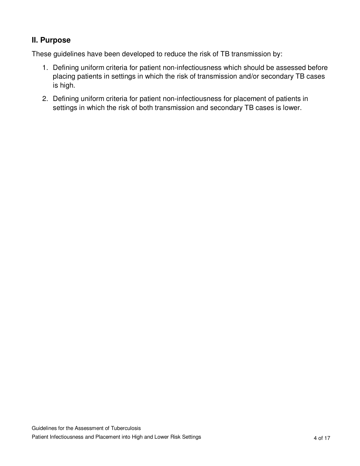### **II. Purpose**

These guidelines have been developed to reduce the risk of TB transmission by:

- 1. Defining uniform criteria for patient non-infectiousness which should be assessed before placing patients in settings in which the risk of transmission and/or secondary TB cases is high.
- 2. Defining uniform criteria for patient non-infectiousness for placement of patients in settings in which the risk of both transmission and secondary TB cases is lower.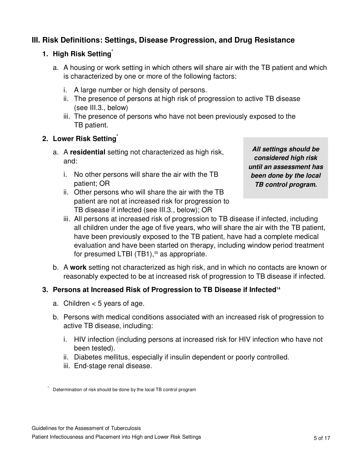### **III. Risk Definitions: Settings, Disease Progression, and Drug Resistance**

### **1. High Risk Setting\***

- a. A housing or work setting in which others will share air with the TB patient and which is characterized by one or more of the following factors:
	- i. A large number or high density of persons.
	- ii. The presence of persons at high risk of progression to active TB disease (see III.3., below)
	- iii. The presence of persons who have not been previously exposed to the TB patient.

### **2. Lower Risk Setting\***

- a. A **residential** setting not characterized as high risk, and:
	- i. No other persons will share the air with the TB patient; OR
	- ii. Other persons who will share the air with the TB patient are not at increased risk for progression to TB disease if infected (see III.3., below); OR

*All settings should be considered high risk until an assessment has been done by the local TB control program.* 

- iii. All persons at increased risk of progression to TB disease if infected, including all children under the age of five years, who will share the air with the TB patient, have been previously exposed to the TB patient, have had a complete medical evaluation and have been started on therapy, including window period treatment for presumed LTBI (TB1), $35$  as appropriate.
- b. A **work** setting not characterized as high risk, and in which no contacts are known or reasonably expected to be at increased risk of progression to TB disease if infected.

### **3. Persons at Increased Risk of Progression to TB Disease if Infected<sup>14</sup>**

- a. Children  $<$  5 years of age.
- b. Persons with medical conditions associated with an increased risk of progression to active TB disease, including:
	- i. HIV infection (including persons at increased risk for HIV infection who have not been tested).
	- ii. Diabetes mellitus, especially if insulin dependent or poorly controlled.
	- iii. End-stage renal disease.

\*

Determination of risk should be done by the local TB control program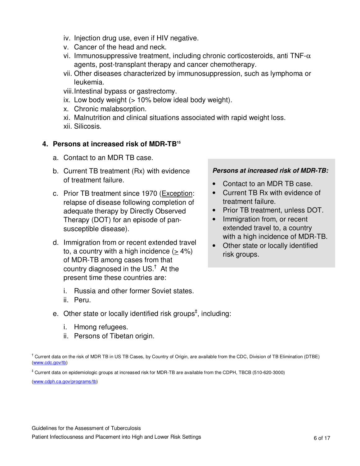- iv. Injection drug use, even if HIV negative.
- v. Cancer of the head and neck.
- vi. Immunosuppressive treatment, including chronic corticosteroids, anti TNF- $\alpha$ agents, post-transplant therapy and cancer chemotherapy.
- vii. Other diseases characterized by immunosuppression, such as lymphoma or leukemia.
- viii. Intestinal bypass or gastrectomy.
- ix. Low body weight  $($  > 10% below ideal body weight).
- x. Chronic malabsorption.
- xi. Malnutrition and clinical situations associated with rapid weight loss.
- xii. Silicosis.

### **4. Persons at increased risk of MDR-TB<sup>15</sup>**

- a. Contact to an MDR TB case.
- b. Current TB treatment (Rx) with evidence of treatment failure.
- c. Prior TB treatment since 1970 (Exception: relapse of disease following completion of adequate therapy by Directly Observed Therapy (DOT) for an episode of pansusceptible disease).
- d. Immigration from or recent extended travel to, a country with a high incidence  $(> 4\%)$ of MDR-TB among cases from that country diagnosed in the US. $^{\dagger}$  At the present time these countries are:
	- i. Russia and other former Soviet states.
	- ii. Peru.
- e. Other state or locally identified risk groups<sup>‡</sup>, including:
	- i. Hmong refugees.
	- ii. Persons of Tibetan origin.

# *Persons at increased risk of MDR-TB:*

- Contact to an MDR TB case.
- Current TB Rx with evidence of treatment failure.
- Prior TB treatment, unless DOT.
- Immigration from, or recent extended travel to, a country with a high incidence of MDR-TB.
- Other state or locally identified risk groups.

† Current data on the risk of MDR TB in US TB Cases, by Country of Origin, are available from the CDC, Division of TB Elimination (DTBE) (www.cdc.gov/tb)

‡ Current data on epidemiologic groups at increased risk for MDR-TB are available from the CDPH, TBCB (510-620-3000)

(www.cdph.ca.gov/programs/tb)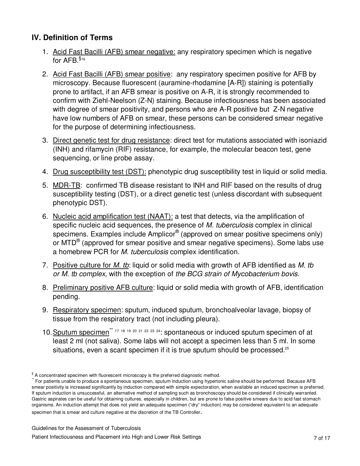### **IV. Definition of Terms**

- 1. Acid Fast Bacilli (AFB) smear negative: any respiratory specimen which is negative for AFB. \$16
- 2. Acid Fast Bacilli (AFB) smear positive: any respiratory specimen positive for AFB by microscopy. Because fluorescent (auramine-rhodamine [A-R]) staining is potentially prone to artifact, if an AFB smear is positive on A-R, it is strongly recommended to confirm with Ziehl-Neelson (Z-N) staining. Because infectiousness has been associated with degree of smear positivity, and persons who are A-R positive but Z-N negative have low numbers of AFB on smear, these persons can be considered smear negative for the purpose of determining infectiousness.
- 3. Direct genetic test for drug resistance: direct test for mutations associated with isoniazid (INH) and rifamycin (RIF) resistance, for example, the molecular beacon test, gene sequencing, or line probe assay.
- 4. Drug susceptibility test (DST): phenotypic drug susceptibility test in liquid or solid media.
- 5. MDR-TB: confirmed TB disease resistant to INH and RIF based on the results of drug susceptibility testing (DST), or a direct genetic test (unless discordant with subsequent phenotypic DST).
- 6. Nucleic acid amplification test (NAAT): a test that detects, via the amplification of specific nucleic acid sequences, the presence of M. tuberculosis complex in clinical specimens. Examples include Amplicor® (approved on smear positive specimens only) or MTD<sup>®</sup> (approved for smear positive and smear negative specimens). Some labs use a homebrew PCR for M. tuberculosis complex identification.
- 7. Positive culture for M. tb: liquid or solid media with growth of AFB identified as M. tb or M. tb complex, with the exception of the BCG strain of Mycobacterium bovis.
- 8. Preliminary positive AFB culture: liquid or solid media with growth of AFB, identification pending.
- 9. Respiratory specimen: sputum, induced sputum, bronchoalveolar lavage, biopsy of tissue from the respiratory tract (not including pleura).
- 10. Sputum specimen<sup>\*\* 17 18 19 20 21 22 23 24</sup>: spontaneous or induced sputum specimen of at least 2 ml (not saliva). Some labs will not accept a specimen less than 5 ml. In some situations, even a scant specimen if it is true sputum should be processed.<sup>25</sup>

 $§$  A concentrated specimen with fluorescent microscopy is the preferred diagnostic method.

For patients unable to produce a spontaneous specimen, sputum induction using hypertonic saline should be performed. Because AFB smear positivity is increased significantly by induction compared with simple expectoration, when available an induced specimen is preferred. If sputum induction is unsuccessful, an alternative method of sampling such as bronchoscopy should be considered if clinically warranted. Gastric aspirates can be useful for obtaining cultures, especially in children, but are prone to false positive smears due to acid fast stomach organisms. An induction attempt that does not yield an adequate specimen ("dry" induction) may be considered equivalent to an adequate specimen that is smear and culture negative at the discretion of the TB Controller.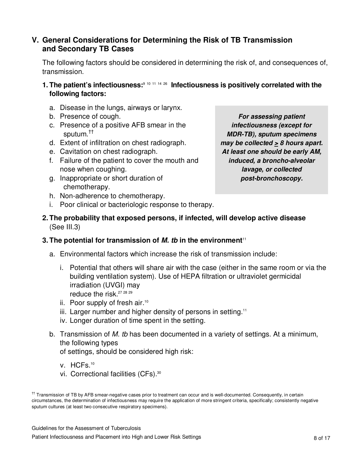### **V. General Considerations for Determining the Risk of TB Transmission and Secondary TB Cases**

 The following factors should be considered in determining the risk of, and consequences of, transmission.

- **1. The patient's infectiousness:**<sup>9</sup> <sup>10</sup> <sup>11</sup> <sup>14</sup> <sup>26</sup> **Infectiousness is positively correlated with the following factors:** 
	- a. Disease in the lungs, airways or larynx.
	- b. Presence of cough.
	- c. Presence of a positive AFB smear in the sputum.††
	- d. Extent of infiltration on chest radiograph.
	- e. Cavitation on chest radiograph.
	- f. Failure of the patient to cover the mouth and nose when coughing.
	- g. Inappropriate or short duration of chemotherapy.

*For assessing patient infectiousness (except for MDR-TB), sputum specimens may be collected > 8 hours apart. At least one should be early AM, induced, a broncho-alveolar lavage, or collected post-bronchoscopy.* 

- h. Non-adherence to chemotherapy.
- i. Poor clinical or bacteriologic response to therapy.
- **2. The probability that exposed persons, if infected, will develop active disease**  (See III.3)

### **3. The potential for transmission of** *M. tb* **in the environment<sup>11</sup>**

- a. Environmental factors which increase the risk of transmission include:
	- i. Potential that others will share air with the case (either in the same room or via the building ventilation system). Use of HEPA filtration or ultraviolet germicidal irradiation (UVGI) may reduce the risk.<sup>27 28 29</sup>
	- ii. Poor supply of fresh air.<sup>10</sup>
	- $iii.$  Larger number and higher density of persons in setting.<sup>11</sup>
	- iv. Longer duration of time spent in the setting.
- b. Transmission of M. tb has been documented in a variety of settings. At a minimum, the following types

of settings, should be considered high risk:

- v. HCFs.<sup>10</sup>
- vi. Correctional facilities (CFs).<sup>30</sup>

<sup>††</sup> Transmission of TB by AFB smear-negative cases prior to treatment can occur and is well-documented. Consequently, in certain circumstances, the determination of infectiousness may require the application of more stringent criteria, specifically; consistently negative sputum cultures (at least two consecutive respiratory specimens).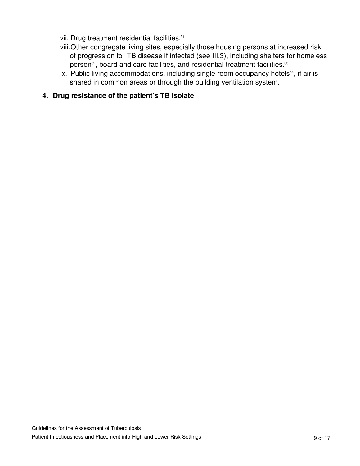- vii. Drug treatment residential facilities.<sup>31</sup>
- viii. Other congregate living sites, especially those housing persons at increased risk of progression to TB disease if infected (see III.3), including shelters for homeless person<sup>32</sup>, board and care facilities, and residential treatment facilities.<sup>33</sup>
- ix. Public living accommodations, including single room occupancy hotels $34$ , if air is shared in common areas or through the building ventilation system.
- **4. Drug resistance of the patient's TB isolate**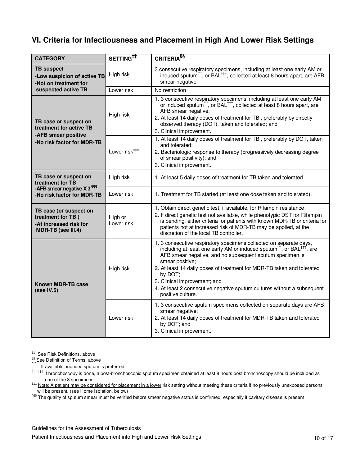### **VI. Criteria for Infectiousness and Placement in High And Lower Risk Settings**

| <b>CATEGORY</b>                                                                                                      | SETTING <sup>##</sup>     | CRITERIA <sup>§§</sup>                                                                                                                                                                                                                                                                                                                                                                                                                                    |
|----------------------------------------------------------------------------------------------------------------------|---------------------------|-----------------------------------------------------------------------------------------------------------------------------------------------------------------------------------------------------------------------------------------------------------------------------------------------------------------------------------------------------------------------------------------------------------------------------------------------------------|
| <b>TB suspect</b><br>-Low suspicion of active TB<br>-Not on treatment for<br>suspected active TB                     | High risk                 | 3 consecutive respiratory specimens, including at least one early AM or<br>induced sputum", or BAL <sup>111</sup> , collected at least 8 hours apart, are AFB<br>smear negative.                                                                                                                                                                                                                                                                          |
|                                                                                                                      | Lower risk                | No restriction                                                                                                                                                                                                                                                                                                                                                                                                                                            |
| TB case or suspect on<br>treatment for active TB<br>-AFB smear positive<br>-No risk factor for MDR-TB                | High risk                 | 1. 3 consecutive respiratory specimens, including at least one early AM or induced sputum", or BAL <sup>+++</sup> , collected at least 8 hours apart, are<br>AFB smear negative;<br>2. At least 14 daily doses of treatment for TB, preferably by directly<br>observed therapy (DOT), taken and tolerated; and<br>3. Clinical improvement.                                                                                                                |
|                                                                                                                      | Lower risk <sup>###</sup> | 1. At least 14 daily doses of treatment for TB, preferably by DOT, taken<br>and tolerated:<br>2. Bacteriologic response to therapy (progressively decreasing degree<br>of smear positivity); and<br>3. Clinical improvement.                                                                                                                                                                                                                              |
| TB case or suspect on<br>treatment for TB<br>-AFB smear negative X 3 <sup>\$\$\$</sup><br>-No risk factor for MDR-TB | High risk                 | 1. At least 5 daily doses of treatment for TB taken and tolerated.                                                                                                                                                                                                                                                                                                                                                                                        |
|                                                                                                                      | Lower risk                | 1. Treatment for TB started (at least one dose taken and tolerated).                                                                                                                                                                                                                                                                                                                                                                                      |
| TB case (or suspect on<br>treatment for TB)<br>-At increased risk for<br>MDR-TB (see III.4)                          | High or<br>Lower risk     | 1. Obtain direct genetic test, if available, for Rifampin resistance<br>2. If direct genetic test not available, while phenotypic DST for Rifampin<br>is pending, either criteria for patients with known MDR-TB or criteria for<br>patients not at increased risk of MDR-TB may be applied, at the<br>discretion of the local TB controller.                                                                                                             |
| <b>Known MDR-TB case</b><br>(see IV.5)                                                                               | High risk                 | 1. 3 consecutive respiratory specimens collected on separate days,<br>including at least one early AM or induced sputum", or BAL <sup>†††</sup> , are<br>AFB smear negative, and no subsequent sputum specimen is<br>smear positive;<br>2. At least 14 daily doses of treatment for MDR-TB taken and tolerated<br>by DOT;<br>3. Clinical improvement; and<br>4. At least 2 consecutive negative sputum cultures without a subsequent<br>positive culture. |
|                                                                                                                      | Lower risk                | 1. 3 consecutive sputum specimens collected on separate days are AFB<br>smear negative;<br>2. At least 14 daily doses of treatment for MDR-TB taken and tolerated<br>by DOT; and<br>3. Clinical improvement.                                                                                                                                                                                                                                              |

‡‡ See Risk Definitions, above

§§§ See Definition of Terms, above

\*\*\*\*\*\*\*\*\*\*\* If available, induced sputum is preferred.

†††††† If bronchoscopy is done, a post-bronchoscopic sputum specimen obtained at least 8 hours post bronchoscopy should be included as one of the 3 specimens.

## Note: A patient may be considered for placement in a lower risk setting without meeting these criteria if no previously unexposed persons will be present. (see Home Isolation, below)

§§§§ The quality of sputum smear must be verified before smear negative status is confirmed, especially if cavitary disease is present

#### Guidelines for the Assessment of Tuberculosis

Patient Infectiousness and Placement into High and Lower Risk Settings 10 of 17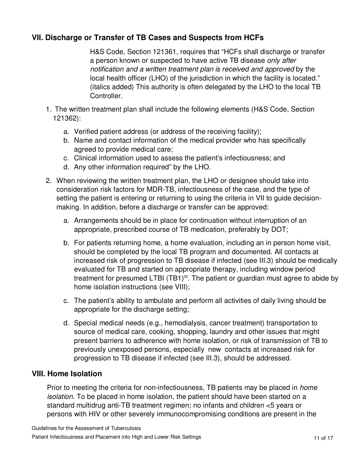### **VII. Discharge or Transfer of TB Cases and Suspects from HCFs**

H&S Code, Section 121361, requires that "HCFs shall discharge or transfer a person known or suspected to have active TB disease only after notification and a written treatment plan is received and approved by the local health officer (LHO) of the jurisdiction in which the facility is located." (italics added) This authority is often delegated by the LHO to the local TB Controller.

- 1. The written treatment plan shall include the following elements (H&S Code, Section 121362):
	- a. Verified patient address (or address of the receiving facility);
	- b. Name and contact information of the medical provider who has specifically agreed to provide medical care;
	- c. Clinical information used to assess the patient's infectiousness; and
	- d. Any other information required" by the LHO.
- 2. When reviewing the written treatment plan, the LHO or designee should take into consideration risk factors for MDR-TB, infectiousness of the case, and the type of setting the patient is entering or returning to using the criteria in VII to guide decisionmaking. In addition, before a discharge or transfer can be approved:
	- a. Arrangements should be in place for continuation without interruption of an appropriate, prescribed course of TB medication, preferably by DOT;
	- b. For patients returning home, a home evaluation, including an in person home visit, should be completed by the local TB program and documented. All contacts at increased risk of progression to TB disease if infected (see III.3) should be medically evaluated for TB and started on appropriate therapy, including window period treatment for presumed LTBI (TB1)<sup>35</sup>. The patient or guardian must agree to abide by home isolation instructions (see VIII);
	- c. The patient's ability to ambulate and perform all activities of daily living should be appropriate for the discharge setting;
	- d. Special medical needs (e.g., hemodialysis, cancer treatment) transportation to source of medical care, cooking, shopping, laundry and other issues that might present barriers to adherence with home isolation, or risk of transmission of TB to previously unexposed persons, especially new contacts at increased risk for progression to TB disease if infected (see III.3), should be addressed.

### **VIII. Home Isolation**

Prior to meeting the criteria for non-infectiousness, TB patients may be placed in *home* isolation. To be placed in home isolation, the patient should have been started on a standard multidrug anti-TB treatment regimen; no infants and children <5 years or persons with HIV or other severely immunocompromising conditions are present in the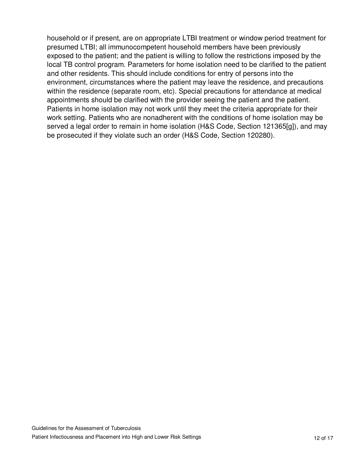household or if present, are on appropriate LTBI treatment or window period treatment for presumed LTBI; all immunocompetent household members have been previously exposed to the patient; and the patient is willing to follow the restrictions imposed by the local TB control program. Parameters for home isolation need to be clarified to the patient and other residents. This should include conditions for entry of persons into the environment, circumstances where the patient may leave the residence, and precautions within the residence (separate room, etc). Special precautions for attendance at medical appointments should be clarified with the provider seeing the patient and the patient. Patients in home isolation may not work until they meet the criteria appropriate for their work setting. Patients who are nonadherent with the conditions of home isolation may be served a legal order to remain in home isolation (H&S Code, Section 121365[g]), and may be prosecuted if they violate such an order (H&S Code, Section 120280).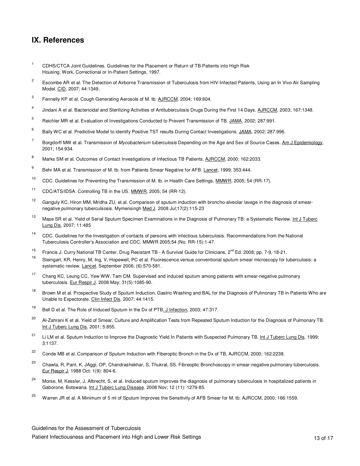### **IX. References**

- <sup>1</sup> CDHS/CTCA Joint Guidelines. Guidelines for the Placement or Return of TB Patients into High Risk Housing, Work, Correctional or In-Patient Settings, 1997.
- 2 Escombe AR et al. The Detection of Airborne Transmission of Tuberculosis from HIV-Infected Patients, Using an In Vivo Air Sampling Model. CID, 2007; 44:1349.
- 3 Fennelly KP et al. Cough Generating Aerosols of M. tb. AJRCCM, 2004; 169:604.
- 4 Jindani A et al. Bactericidal and Sterilizing Activities of Antituberculosis Drugs During the First 14 Days. AJRCCM, 2003; 167:1348.
- 5 Reichler MR et al. Evaluation of Investigations Conducted to Prevent Transmission of TB. JAMA, 2002; 287:991.
- 6 Baily WC et al. Predictive Model to identify Positive TST results During Contact Investigations. JAMA, 2002; 287:996.
- 7 Borgdorff MW et al. Transmission of Mycobacterium tuberculosis Depending on the Age and Sex of Source Cases. Am J Epidemiology, 2001; 154:934.
- 8 Marks SM et al. Outcomes of Contact Investigations of Infectious TB Patients. AJRCCM, 2000; 162:2033.
- 9 Behr MA et al. Transmission of M. tb. from Patients Smear Negative for AFB. Lancet, 1999; 353:444.
- <sup>10</sup> CDC. Guidelines for Preventing the Transmission of M. tb. in Health Care Settings. MMWR, 2005; 54 (RR-17).
- <sup>11</sup> CDC/ATS/IDSA. Controlling TB in the US. MMWR, 2005; 54 (RR-12).
- $12$  Ganguly KC, Hiron MM, Mridha ZU, et.al. Comparison of sputum induction with broncho-alveolar lavage in the diagnosis of smearnegative pulmonary tuberculsosis. Mymensingh Med J. 2008 Jul;17(2):115-23
- <sup>13</sup> Mase SR et al. Yield of Serial Sputum Specimen Examinations in the Diagnosis of Pulmonary TB: a Systematic Review. Int J Tuberc Lung Dis, 2007; 11:485
- <sup>14</sup> CDC. Guidelines for the Investigation of contacts of persons with infectious tuberculosis. Recommendations from the National Tuberculosis Controller's Association and CDC, MMWR 2005;54 (No. RR-15):1-47.
- <sup>15</sup> Francis J. Curry National TB Center. Drug Resistant TB A Survival Guide for Clinicians, 2<sup>nd</sup> Ed. 2008; pp. 7-9, 18-21.<br><sup>16</sup> Philadelphia Martin Mathematic D. 2001. Flamment Washington and the descriptional of the a
- Steingart, KR, Henry, M, Ing, V, Hopewell, PC et al. Fluorescence versus conventional sputum smear microscopy for tuberculosis: a systematic review. Lancet. September 2006; (6):570-581.
- <sup>17</sup> Chang KC, Leung CC, Yew WW, Tam CM. Supervised and induced sputum among patients with smear-negative pulmonary tuberculosis. Eur Respir J. 2008 May; 31(5):1085-90.
- <sup>18</sup> Brown M et al. Prospective Study of Sputum Induction, Gastric Washing and BAL for the Diagnosis of Pulmonary TB in Patients Who are Unable to Expectorate. Clin Infect Dis. 2007; 44:1415.
- <sup>19</sup> Bell D et al. The Role of Induced Sputum in the Dx of PTB. J Infection, 2003; 47:317.
- <sup>20</sup> Al-Zahrani K et al. Yield of Smear, Culture and Amplification Tests from Repeated Sputum Induction for the Diagnosis of Pulmonary TB. Int J Tuberc Lung Dis, 2001; 5:855.
- <sup>21</sup> Li LM et al. Sputum Induction to Improve the Diagnostic Yield In Patients with Suspected Pulmonary TB. Int J Tuberc Lung Dis, 1999; 3:1137.
- <sup>22</sup> Conde MB et al. Comparison of Sputum Induction with Fiberoptic Bronch in the Dx of TB, AJRCCM, 2000; 162:2238.
- <sup>23</sup> Chawla, R, Pant, K, JAggi, OP, Chandrashekhar, S, Thukral, SS. Fibreoptic Bronchoscopy in smear-negative pulmonary tuberculosis. Eur Respir J. 1988 Oct: 1(9): 804-6.
- <sup>24</sup> Morse, M, Kessler, J, Albrecht, S, et al. Induced sputum improves the diagnosis of pulmonary tuberculosis in hospitalized patients in Gaborone, Botswana. Int J Tuberc Lung Disease. 2008 Nov; 12 (11): 1279-85.
- <sup>25</sup> Warren JR et al. A Minimum of 5 ml of Sputum Improves the Sensitivity of AFB Smear for M. tb. AJRCCM, 2000; 166:1559.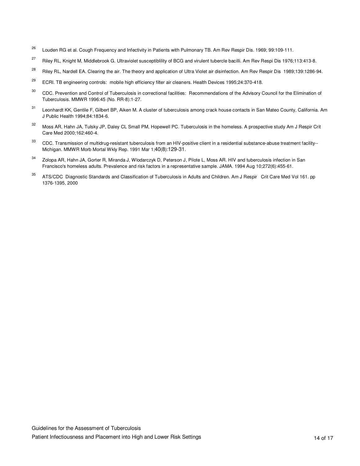- <sup>26</sup> Louden RG et al. Cough Frequency and Infectivity in Patients with Pulmonary TB. Am Rev Respir Dis. 1969; 99:109-111.
- <sup>27</sup> Riley RL, Knight M, Middlebrook G. Ultraviolet susceptiblility of BCG and virulent tubercle bacilli. Am Rev Respi Dis 1976;113:413-8.
- <sup>28</sup> Riley RL, Nardell EA. Clearing the air. The theory and application of Ultra Violet air disinfection. Am Rev Respir Dis 1989;139:1286-94.
- <sup>29</sup> ECRI. TB engineering controls: mobile high efficiency filter air cleaners. Health Devices 1995;24:370-418.
- <sup>30</sup> CDC. Prevention and Control of Tuberculosis in correctional facilities: Recommendations of the Advisory Council for the Elimination of Tuberculosis. MMWR 1996:45 (No. RR-8):1-27.
- <sup>31</sup> Leonhardt KK, Gentile F, Gilbert BP, Aiken M. A cluster of tuberculosis among crack house contacts in San Mateo County, California. Am J Public Health 1994;84:1834-6.
- 32 Moss AR, Hahn JA, Tulsky JP, Daley CL Small PM, Hopewell PC. Tuberculosis in the homeless. A prospective study Am J Respir Crit Care Med 2000;162:460-4.
- <sup>33</sup> CDC. Transmission of multidrug-resistant tuberculosis from an HIV-positive client in a residential substance-abuse treatment facility--Michigan. MMWR Morb Mortal Wkly Rep. 1991 Mar 1;40(8):129-31.
- <sup>34</sup> Zolopa AR, Hahn JA, Gorter R, Miranda J, Wlodarczyk D, Peterson J, Pilote L, Moss AR, HIV and tuberculosis infection in San Francisco's homeless adults. Prevalence and risk factors in a representative sample. JAMA. 1994 Aug 10;272(6):455-61.
- 35 ATS/CDC Diagnostic Standards and Classification of Tuberculosis in Adults and Children. Am J Respir Crit Care Med Vol 161. pp 1376-1395, 2000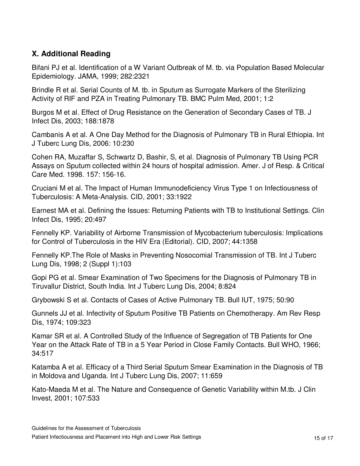### **X. Additional Reading**

Bifani PJ et al. Identification of a W Variant Outbreak of M. tb. via Population Based Molecular Epidemiology. JAMA, 1999; 282:2321

Brindle R et al. Serial Counts of M. tb. in Sputum as Surrogate Markers of the Sterilizing Activity of RIF and PZA in Treating Pulmonary TB. BMC Pulm Med, 2001; 1:2

Burgos M et al. Effect of Drug Resistance on the Generation of Secondary Cases of TB. J Infect Dis, 2003; 188:1878

Cambanis A et al. A One Day Method for the Diagnosis of Pulmonary TB in Rural Ethiopia. Int J Tuberc Lung Dis, 2006: 10:230

Cohen RA, Muzaffar S, Schwartz D, Bashir, S, et al. Diagnosis of Pulmonary TB Using PCR Assays on Sputum collected within 24 hours of hospital admission. Amer. J of Resp. & Critical Care Med. 1998. 157: 156-16.

Cruciani M et al. The Impact of Human Immunodeficiency Virus Type 1 on Infectiousness of Tuberculosis: A Meta-Analysis. CID, 2001; 33:1922

Earnest MA et al. Defining the Issues: Returning Patients with TB to Institutional Settings. Clin Infect Dis, 1995; 20:497

Fennelly KP. Variability of Airborne Transmission of Mycobacterium tuberculosis: Implications for Control of Tuberculosis in the HIV Era (Editorial). CID, 2007; 44:1358

Fennelly KP.The Role of Masks in Preventing Nosocomial Transmission of TB. Int J Tuberc Lung Dis, 1998; 2 (Suppl 1):103

Gopi PG et al. Smear Examination of Two Specimens for the Diagnosis of Pulmonary TB in Tiruvallur District, South India. Int J Tuberc Lung Dis, 2004; 8:824

Grybowski S et al. Contacts of Cases of Active Pulmonary TB. Bull IUT, 1975; 50:90

Gunnels JJ et al. Infectivity of Sputum Positive TB Patients on Chemotherapy. Am Rev Resp Dis, 1974; 109:323

Kamar SR et al. A Controlled Study of the Influence of Segregation of TB Patients for One Year on the Attack Rate of TB in a 5 Year Period in Close Family Contacts. Bull WHO, 1966; 34:517

Katamba A et al. Efficacy of a Third Serial Sputum Smear Examination in the Diagnosis of TB in Moldova and Uganda. Int J Tuberc Lung Dis, 2007; 11:659

Kato-Maeda M et al. The Nature and Consequence of Genetic Variability within M.tb. J Clin Invest, 2001; 107:533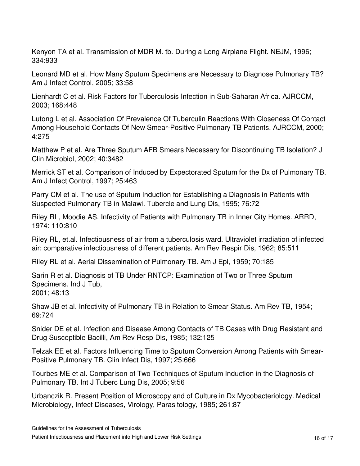Kenyon TA et al. Transmission of MDR M. tb. During a Long Airplane Flight. NEJM, 1996; 334:933

Leonard MD et al. How Many Sputum Specimens are Necessary to Diagnose Pulmonary TB? Am J Infect Control, 2005; 33:58

Lienhardt C et al. Risk Factors for Tuberculosis Infection in Sub-Saharan Africa. AJRCCM, 2003; 168:448

Lutong L et al. Association Of Prevalence Of Tuberculin Reactions With Closeness Of Contact Among Household Contacts Of New Smear-Positive Pulmonary TB Patients. AJRCCM, 2000; 4:275

Matthew P et al. Are Three Sputum AFB Smears Necessary for Discontinuing TB Isolation? J Clin Microbiol, 2002; 40:3482

Merrick ST et al. Comparison of Induced by Expectorated Sputum for the Dx of Pulmonary TB. Am J Infect Control, 1997; 25:463

Parry CM et al. The use of Sputum Induction for Establishing a Diagnosis in Patients with Suspected Pulmonary TB in Malawi. Tubercle and Lung Dis, 1995; 76:72

Riley RL, Moodie AS. Infectivity of Patients with Pulmonary TB in Inner City Homes. ARRD, 1974: 110:810

Riley RL, et.al. Infectiousness of air from a tuberculosis ward. Ultraviolet irradiation of infected air: comparative infectiousness of different patients. Am Rev Respir Dis, 1962; 85:511

Riley RL et al. Aerial Dissemination of Pulmonary TB. Am J Epi, 1959; 70:185

Sarin R et al. Diagnosis of TB Under RNTCP: Examination of Two or Three Sputum Specimens. Ind J Tub, 2001; 48:13

Shaw JB et al. Infectivity of Pulmonary TB in Relation to Smear Status. Am Rev TB, 1954; 69:724

Snider DE et al. Infection and Disease Among Contacts of TB Cases with Drug Resistant and Drug Susceptible Bacilli, Am Rev Resp Dis, 1985; 132:125

Telzak EE et al. Factors Influencing Time to Sputum Conversion Among Patients with Smear-Positive Pulmonary TB. Clin Infect Dis, 1997; 25:666

Tourbes ME et al. Comparison of Two Techniques of Sputum Induction in the Diagnosis of Pulmonary TB. Int J Tuberc Lung Dis, 2005; 9:56

Urbanczik R. Present Position of Microscopy and of Culture in Dx Mycobacteriology. Medical Microbiology, Infect Diseases, Virology, Parasitology, 1985; 261:87